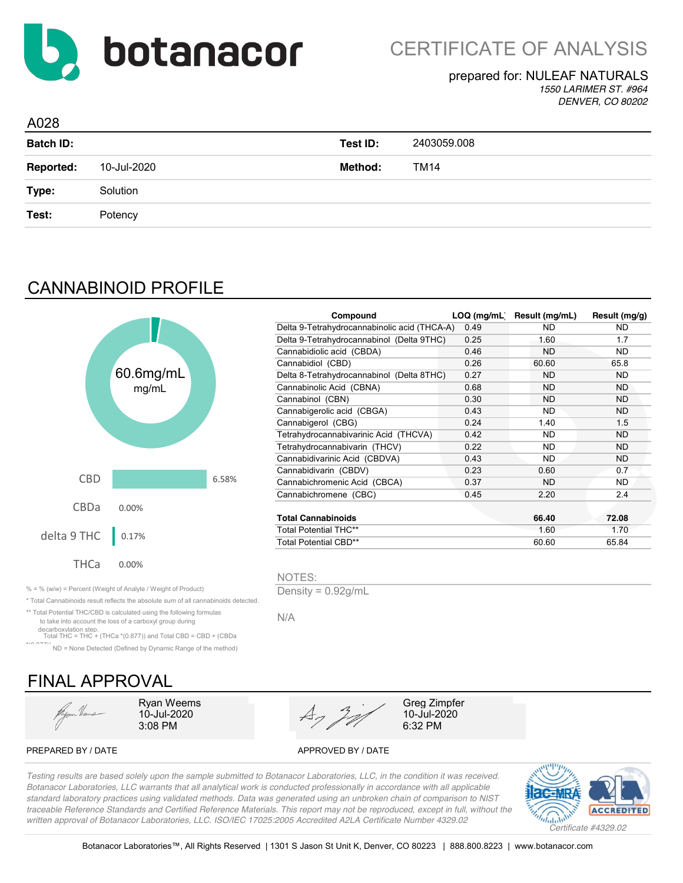

*1550 LARIMER ST. #964 DENVER, CO 80202*

| A028             |             |          |             |  |
|------------------|-------------|----------|-------------|--|
| <b>Batch ID:</b> |             | Test ID: | 2403059.008 |  |
| <b>Reported:</b> | 10-Jul-2020 | Method:  | TM14        |  |
| Type:            | Solution    |          |             |  |
| Test:            | Potency     |          |             |  |
|                  |             |          |             |  |

## CANNABINOID PROFILE



|               |       | Compound                                     | LOQ (mg/mL) | Result (mg/mL) | Result (mg/g) |
|---------------|-------|----------------------------------------------|-------------|----------------|---------------|
|               |       | Delta 9-Tetrahydrocannabinolic acid (THCA-A) | 0.49        | ND.            | ND.           |
|               |       | Delta 9-Tetrahydrocannabinol (Delta 9THC)    | 0.25        | 1.60           | 1.7           |
|               |       | Cannabidiolic acid (CBDA)                    | 0.46        | <b>ND</b>      | ND.           |
|               |       | Cannabidiol (CBD)                            | 0.26        | 60.60          | 65.8          |
| 6mg/mL        |       | Delta 8-Tetrahydrocannabinol (Delta 8THC)    | 0.27        | <b>ND</b>      | ND.           |
| mg/mL         |       | Cannabinolic Acid (CBNA)                     | 0.68        | <b>ND</b>      | <b>ND</b>     |
|               |       | Cannabinol (CBN)                             | 0.30        | <b>ND</b>      | ND.           |
|               |       | Cannabigerolic acid (CBGA)                   | 0.43        | <b>ND</b>      | ND.           |
|               |       | Cannabigerol (CBG)                           | 0.24        | 1.40           | 1.5           |
|               |       | Tetrahydrocannabivarinic Acid (THCVA)        | 0.42        | <b>ND</b>      | <b>ND</b>     |
|               |       | Tetrahydrocannabivarin (THCV)                | 0.22        | <b>ND</b>      | <b>ND</b>     |
|               |       | Cannabidivarinic Acid (CBDVA)                | 0.43        | <b>ND</b>      | ND.           |
|               |       | Cannabidivarin (CBDV)                        | 0.23        | 0.60           | 0.7           |
|               | 6.58% | Cannabichromenic Acid (CBCA)                 | 0.37        | <b>ND</b>      | ND.           |
|               |       | Cannabichromene (CBC)                        | 0.45        | 2.20           | 2.4           |
| $\frac{9}{6}$ |       |                                              |             |                |               |
|               |       | <b>Total Cannabinoids</b>                    |             | 66.40          | 72.08         |
|               |       | <b>Total Potential THC**</b>                 |             | 1.60           | 1.70          |
| 7%            |       | Total Potential CBD**                        |             | 60.60          | 65.84         |
|               |       |                                              |             |                |               |

NOTES:

N/A

\* Total Cannabinoids result reflects the absolute sum of all cannabinoids detected.

\*\* Total Potential THC/CBD is calculated using the following formulas to take into account the loss of a carboxyl group during decarboxylation step. Total THC = THC + (THCa \*(0.877)) and Total CBD = CBD + (CBDa

\*(0.877)) ND = None Detected (Defined by Dynamic Range of the method)

# FINAL APPROVAL

Hyper Heuse



PREPARED BY / DATE APPROVED BY / DATE

*Testing results are based solely upon the sample submitted to Botanacor Laboratories, LLC, in the condition it was received. Botanacor Laboratories, LLC warrants that all analytical work is conducted professionally in accordance with all applicable standard laboratory practices using validated methods. Data was generated using an unbroken chain of comparison to NIST traceable Reference Standards and Certified Reference Materials. This report may not be reproduced, except in full, without the written approval of Botanacor Laboratories, LLC. ISO/IEC 17025:2005 Accredited A2LA Certificate Number 4329.02 Certificate #4329.02*

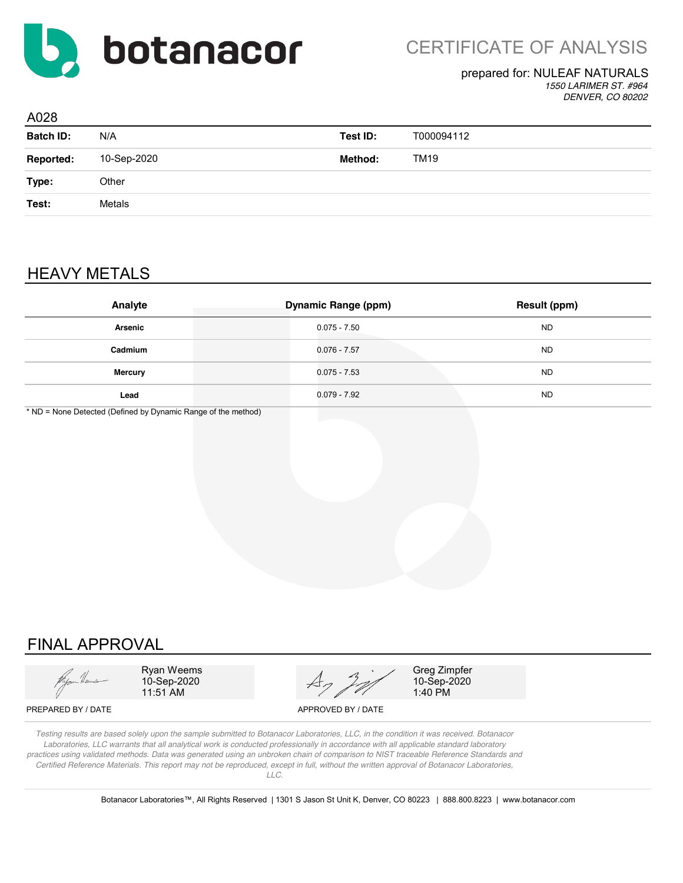

*1550 LARIMER ST. #964 DENVER, CO 80202*

| A028             |             |          |            |
|------------------|-------------|----------|------------|
| <b>Batch ID:</b> | N/A         | Test ID: | T000094112 |
| <b>Reported:</b> | 10-Sep-2020 | Method:  | TM19       |
| Type:            | Other       |          |            |
| Test:            | Metals      |          |            |
|                  |             |          |            |

## HEAVY METALS

| Analyte        | <b>Dynamic Range (ppm)</b> | Result (ppm) |
|----------------|----------------------------|--------------|
| Arsenic        | $0.075 - 7.50$             | <b>ND</b>    |
| Cadmium        | $0.076 - 7.57$             | <b>ND</b>    |
| <b>Mercury</b> | $0.075 - 7.53$             | <b>ND</b>    |
| Lead           | $0.079 - 7.92$             | <b>ND</b>    |

\* ND = None Detected (Defined by Dynamic Range of the method)

## FINAL APPROVAL



Ryan Weems 10-Sep-2020 11:51 AM



Greg Zimpfer 10-Sep-2020 1:40 PM

PREPARED BY / DATE APPROVED BY / DATE

*Testing results are based solely upon the sample submitted to Botanacor Laboratories, LLC, in the condition it was received. Botanacor Laboratories, LLC warrants that all analytical work is conducted professionally in accordance with all applicable standard laboratory practices using validated methods. Data was generated using an unbroken chain of comparison to NIST traceable Reference Standards and Certified Reference Materials. This report may not be reproduced, except in full, without the written approval of Botanacor Laboratories, LLC.*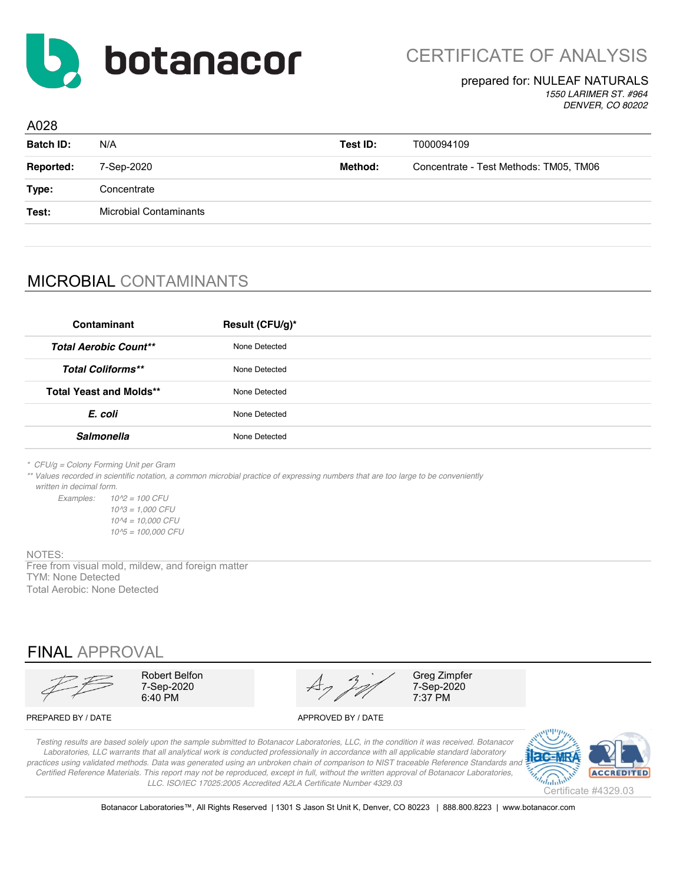

*1550 LARIMER ST. #964 DENVER, CO 80202*

| A028             |                               |          |                                        |
|------------------|-------------------------------|----------|----------------------------------------|
| <b>Batch ID:</b> | N/A                           | Test ID: | T000094109                             |
| Reported:        | 7-Sep-2020                    | Method:  | Concentrate - Test Methods: TM05, TM06 |
| Type:            | Concentrate                   |          |                                        |
| Test:            | <b>Microbial Contaminants</b> |          |                                        |
|                  |                               |          |                                        |

## MICROBIAL CONTAMINANTS

| Contaminant                    | Result (CFU/g)* |
|--------------------------------|-----------------|
| <b>Total Aerobic Count**</b>   | None Detected   |
| <b>Total Coliforms**</b>       | None Detected   |
| <b>Total Yeast and Molds**</b> | None Detected   |
| E. coli                        | None Detected   |
| <b>Salmonella</b>              | None Detected   |
|                                |                 |

*\* CFU/g = Colony Forming Unit per Gram*

*\*\* Values recorded in scientific notation, a common microbial practice of expressing numbers that are too large to be conveniently written in decimal form.*

*Examples: 10^2 = 100 CFU 10^3 = 1,000 CFU 10^4 = 10,000 CFU 10^5 = 100,000 CFU*

NOTES:

Free from visual mold, mildew, and foreign matter TYM: None Detected Total Aerobic: None Detected

FINAL APPROVAL

6:40 PM

Robert Belfon Greg Zimpfer<br>
7-Sep-2020  $A_7$   $2^{7}$   $7$ -Sep-2020  $A_7$   $\frac{3}{2}$   $\frac{7}{2}$   $\frac{7}{2}$   $\frac{7}{2}$   $\frac{7}{2}$   $\frac{7}{2}$   $\frac{7}{2}$   $\frac{7}{2}$   $\frac{7}{2}$   $\frac{7}{2}$   $\frac{7}{2}$   $\frac{7}{2}$   $\frac{7}{2}$   $\frac{7}{2}$   $\frac{7}{2}$   $\frac{7}{2}$   $\frac{7}{2}$   $\frac{7}{2}$   $\frac{7}{2}$   $\frac{7}{2}$   $\frac{7}{2}$   $\frac{7$ 

PREPARED BY / DATE APPROVED BY / DATE

*Testing results are based solely upon the sample submitted to Botanacor Laboratories, LLC, in the condition it was received. Botanacor Laboratories, LLC warrants that all analytical work is conducted professionally in accordance with all applicable standard laboratory*  practices using validated methods. Data was generated using an unbroken chain of comparison to NIST traceable Reference Standards and *Certified Reference Materials. This report may not be reproduced, except in full, without the written approval of Botanacor Laboratories, LLC. ISO/IEC 17025:2005 Accredited A2LA Certificate Number 4329.03*

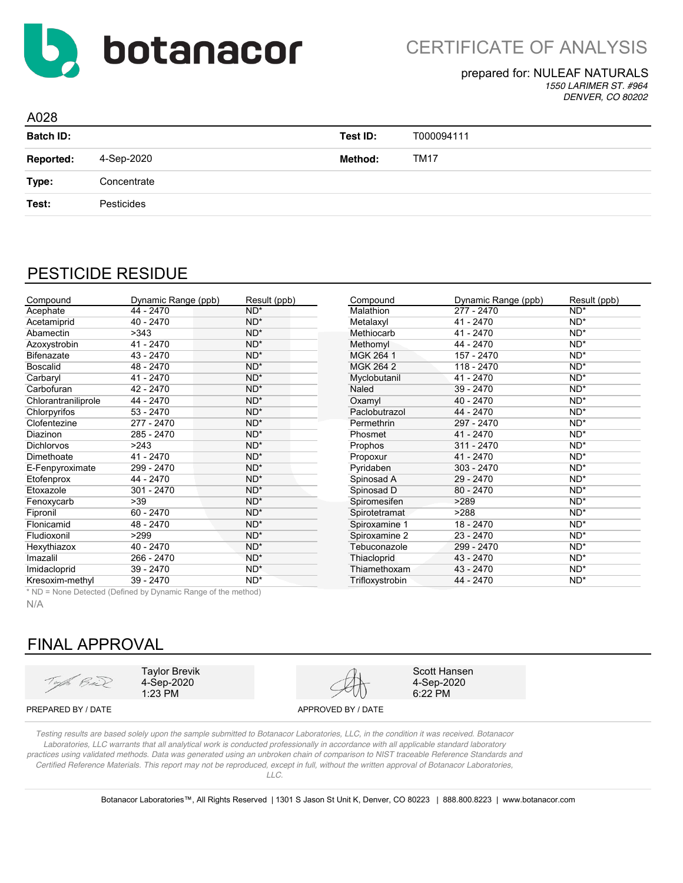

*1550 LARIMER ST. #964 DENVER, CO 80202*

| A028             |             |          |             |  |
|------------------|-------------|----------|-------------|--|
| <b>Batch ID:</b> |             | Test ID: | T000094111  |  |
| <b>Reported:</b> | 4-Sep-2020  | Method:  | <b>TM17</b> |  |
| Type:            | Concentrate |          |             |  |
| Test:            | Pesticides  |          |             |  |
|                  |             |          |             |  |

### PESTICIDE RESIDUE

| Compound            | Dynamic Range (ppb) | Result (ppb) | Compound        | Dynamic Range (ppb) | Result (ppb) |
|---------------------|---------------------|--------------|-----------------|---------------------|--------------|
| Acephate            | 44 - 2470           | $ND^*$       | Malathion       | $277 - 2470$        | $ND^*$       |
| Acetamiprid         | $40 - 2470$         | $ND^*$       | Metalaxyl       | 41 - 2470           | $ND^*$       |
| Abamectin           | >343                | $ND^*$       | Methiocarb      | 41 - 2470           | $ND^*$       |
| Azoxystrobin        | 41 - 2470           | $ND^*$       | Methomyl        | 44 - 2470           | $ND^*$       |
| <b>Bifenazate</b>   | 43 - 2470           | $ND^*$       | MGK 264 1       | 157 - 2470          | $ND^*$       |
| <b>Boscalid</b>     | 48 - 2470           | $ND^*$       | MGK 264 2       | 118 - 2470          | $ND^*$       |
| Carbaryl            | 41 - 2470           | $ND^*$       | Myclobutanil    | $41 - 2470$         | $ND^*$       |
| Carbofuran          | 42 - 2470           | $ND^*$       | Naled           | 39 - 2470           | $ND^*$       |
| Chlorantraniliprole | 44 - 2470           | $ND^*$       | Oxamyl          | 40 - 2470           | $ND^*$       |
| Chlorpyrifos        | $53 - 2470$         | $ND^*$       | Paclobutrazol   | 44 - 2470           | $ND^*$       |
| Clofentezine        | 277 - 2470          | $ND^*$       | Permethrin      | 297 - 2470          | $ND^*$       |
| <b>Diazinon</b>     | 285 - 2470          | $ND^*$       | Phosmet         | $41 - 2470$         | $ND^*$       |
| <b>Dichlorvos</b>   | >243                | $ND^*$       | Prophos         | 311 - 2470          | $ND^*$       |
| Dimethoate          | 41 - 2470           | $ND^*$       | Propoxur        | 41 - 2470           | $ND^*$       |
| E-Fenpyroximate     | 299 - 2470          | $ND^*$       | Pyridaben       | $303 - 2470$        | $ND^*$       |
| Etofenprox          | 44 - 2470           | $ND^*$       | Spinosad A      | 29 - 2470           | $ND^*$       |
| Etoxazole           | 301 - 2470          | $ND^*$       | Spinosad D      | $80 - 2470$         | $ND^*$       |
| Fenoxycarb          | >39                 | $ND^*$       | Spiromesifen    | >289                | $ND^*$       |
| Fipronil            | $60 - 2470$         | $ND^*$       | Spirotetramat   | >288                | $ND^*$       |
| Flonicamid          | 48 - 2470           | $ND^*$       | Spiroxamine 1   | 18 - 2470           | $ND^*$       |
| Fludioxonil         | >299                | $ND^*$       | Spiroxamine 2   | 23 - 2470           | $ND^*$       |
| Hexythiazox         | $40 - 2470$         | $ND^*$       | Tebuconazole    | 299 - 2470          | $ND^*$       |
| Imazalil            | 266 - 2470          | $ND^*$       | Thiacloprid     | 43 - 2470           | $ND^*$       |
| Imidacloprid        | 39 - 2470           | $ND^*$       | Thiamethoxam    | 43 - 2470           | $ND^*$       |
| Kresoxim-methyl     | 39 - 2470           | ND*          | Trifloxystrobin | 44 - 2470           | $ND^*$       |

\* ND = None Detected (Defined by Dynamic Range of the method)

N/A

### FINAL APPROVAL

Top Bul

Taylor Brevik 4-Sep-2020 1:23 PM



Scott Hansen 4-Sep-2020 6:22 PM

PREPARED BY / DATE APPROVED BY / DATE

*Testing results are based solely upon the sample submitted to Botanacor Laboratories, LLC, in the condition it was received. Botanacor Laboratories, LLC warrants that all analytical work is conducted professionally in accordance with all applicable standard laboratory practices using validated methods. Data was generated using an unbroken chain of comparison to NIST traceable Reference Standards and Certified Reference Materials. This report may not be reproduced, except in full, without the written approval of Botanacor Laboratories, LLC.*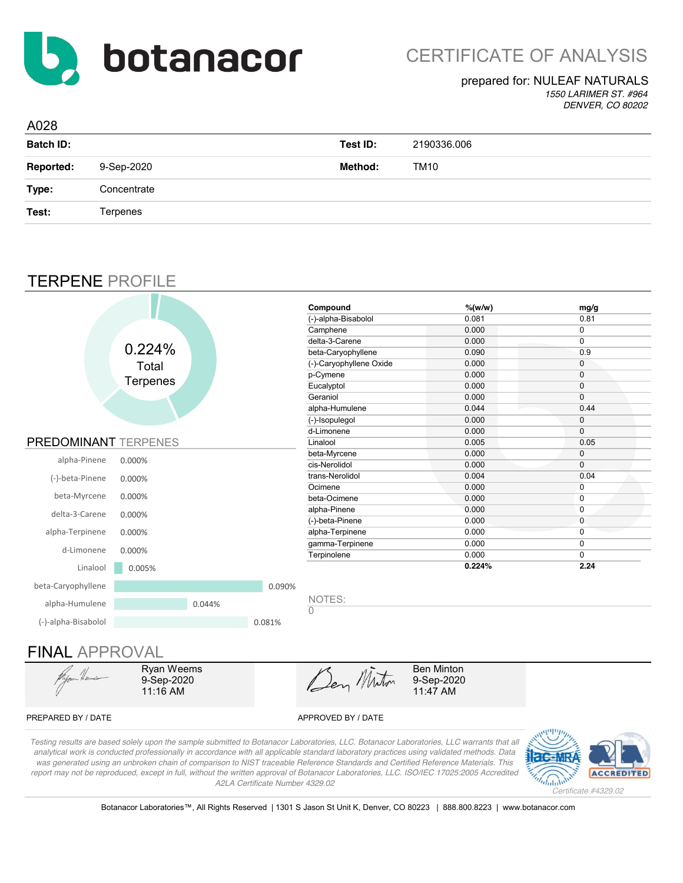

*1550 LARIMER ST. #964 DENVER, CO 80202*

| A028             |             |          |             |
|------------------|-------------|----------|-------------|
| <b>Batch ID:</b> |             | Test ID: | 2190336.006 |
| <b>Reported:</b> | 9-Sep-2020  | Method:  | TM10        |
| Type:            | Concentrate |          |             |
| Test:            | Terpenes    |          |             |

### TERPENE PROFILE

|                      |                 |        |        | Compound                 | $%$ (w/w) | mg/g         |
|----------------------|-----------------|--------|--------|--------------------------|-----------|--------------|
|                      |                 |        |        | (-)-alpha-Bisabolol      | 0.081     | 0.81         |
|                      |                 |        |        | Camphene                 | 0.000     | 0            |
|                      |                 |        |        | delta-3-Carene           | 0.000     | 0            |
|                      | 0.224%          |        |        | beta-Caryophyllene       | 0.090     | 0.9          |
|                      | Total           |        |        | (-)-Caryophyllene Oxide  | 0.000     | $\mathbf 0$  |
|                      |                 |        |        | p-Cymene                 | 0.000     | $\mathbf 0$  |
|                      | <b>Terpenes</b> |        |        | Eucalyptol               | 0.000     | 0            |
|                      |                 |        |        | Geraniol                 | 0.000     | $\mathbf 0$  |
|                      |                 |        |        | alpha-Humulene           | 0.044     | 0.44         |
|                      |                 |        |        | (-)-Isopulegol           | 0.000     | 0            |
|                      |                 |        |        | d-Limonene               | 0.000     | $\mathbf 0$  |
| PREDOMINANT TERPENES |                 |        |        | Linalool                 | 0.005     | 0.05         |
|                      |                 |        |        | beta-Myrcene             | 0.000     | $\mathbf 0$  |
| alpha-Pinene         | 0.000%          |        |        | cis-Nerolidol            | 0.000     | $\mathbf 0$  |
| (-)-beta-Pinene      | 0.000%          |        |        | trans-Nerolidol          | 0.004     | 0.04         |
|                      |                 |        |        | Ocimene                  | 0.000     | $\mathbf{0}$ |
| beta-Myrcene         | 0.000%          |        |        | beta-Ocimene             | 0.000     | 0            |
| delta-3-Carene       | 0.000%          |        |        | alpha-Pinene             | 0.000     | 0            |
|                      |                 |        |        | (-)-beta-Pinene          | 0.000     | 0            |
| alpha-Terpinene      | 0.000%          |        |        | alpha-Terpinene          | 0.000     | 0            |
| d-Limonene           |                 |        |        | gamma-Terpinene          | 0.000     | 0            |
|                      | 0.000%          |        |        | Terpinolene              | 0.000     | 0            |
| Linalool             | 0.005%          |        |        |                          | 0.224%    | 2.24         |
| beta-Caryophyllene   |                 |        | 0.090% |                          |           |              |
| alpha-Humulene       |                 | 0.044% |        | NOTES:<br>$\overline{0}$ |           |              |
| (-)-alpha-Bisabolol  |                 |        | 0.081% |                          |           |              |

### FINAL APPROVAL



Ryan Weems 9-Sep-2020 11:16 AM

Den Minton

Ben Minton 9-Sep-2020 11:47 AM

#### PREPARED BY / DATE APPROVED BY / DATE

*Testing results are based solely upon the sample submitted to Botanacor Laboratories, LLC. Botanacor Laboratories, LLC warrants that all analytical work is conducted professionally in accordance with all applicable standard laboratory practices using validated methods. Data was generated using an unbroken chain of comparison to NIST traceable Reference Standards and Certified Reference Materials. This report may not be reproduced, except in full, without the written approval of Botanacor Laboratories, LLC. ISO/IEC 17025:2005 Accredited A2LA Certificate Number 4329.02*